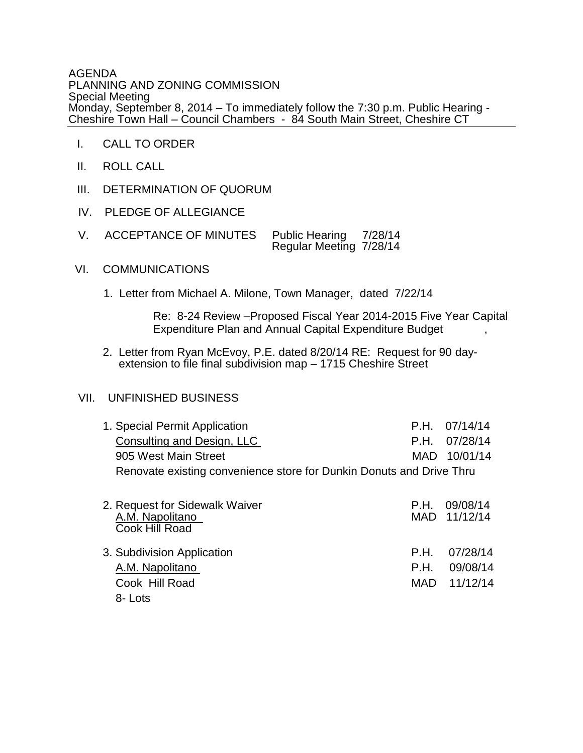AGENDA PLANNING AND ZONING COMMISSION Special Meeting Monday, September 8, 2014 – To immediately follow the 7:30 p.m. Public Hearing - Cheshire Town Hall – Council Chambers - 84 South Main Street, Cheshire CT

- I. CALL TO ORDER
- II. ROLL CALL
- III. DETERMINATION OF QUORUM
- IV. PLEDGE OF ALLEGIANCE
- V. ACCEPTANCE OF MINUTES Public Hearing 7/28/14 Regular Meeting 7/28/14

## VI. COMMUNICATIONS

1. Letter from Michael A. Milone, Town Manager, dated 7/22/14

 Re: 8-24 Review –Proposed Fiscal Year 2014-2015 Five Year Capital Expenditure Plan and Annual Capital Expenditure Budget ,

2. Letter from Ryan McEvoy, P.E. dated 8/20/14 RE: Request for 90 day extension to file final subdivision map – 1715 Cheshire Street

## VII. UNFINISHED BUSINESS

| 1. Special Permit Application                                        |              | $P.H.$ 07/14/14          |
|----------------------------------------------------------------------|--------------|--------------------------|
| <b>Consulting and Design, LLC</b>                                    | P.H.         | 07/28/14                 |
| 905 West Main Street                                                 | MAD          | 10/01/14                 |
| Renovate existing convenience store for Dunkin Donuts and Drive Thru |              |                          |
| 2. Request for Sidewalk Waiver<br>A.M. Napolitano<br>Cook Hill Road  | P.H.         | 09/08/14<br>MAD 11/12/14 |
| 3. Subdivision Application<br>A.M. Napolitano                        | P.H.<br>P.H. | 07/28/14<br>09/08/14     |
| Cook Hill Road<br>8-Lots                                             | MAD          | 11/12/14                 |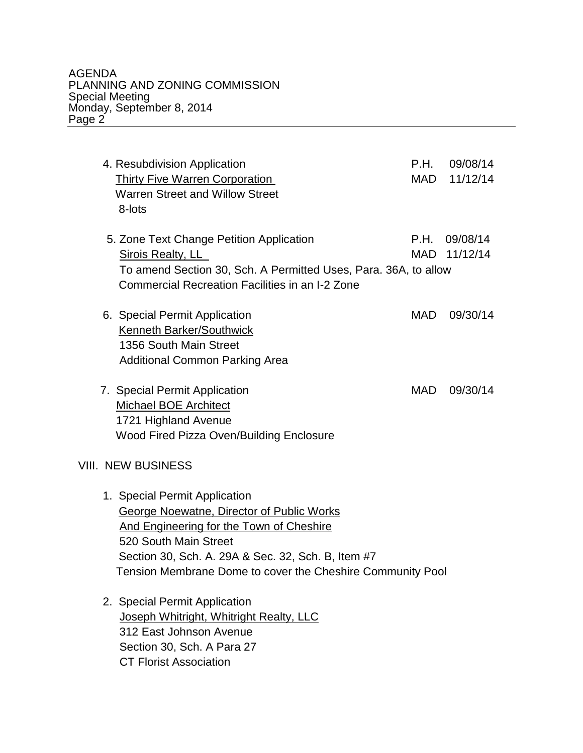AGENDA PLANNING AND ZONING COMMISSION Special Meeting Monday, September 8, 2014 Page 2

4. Resubdivision Application P.H. 09/08/14 Thirty Five Warren Corporation MAD 11/12/14 Warren Street and Willow Street 8-lots 5. Zone Text Change Petition Application **F.H.** 09/08/14 Sirois Realty, LL MAD 11/12/14 To amend Section 30, Sch. A Permitted Uses, Para. 36A, to allow Commercial Recreation Facilities in an I-2 Zone 6. Special Permit Application MAD 09/30/14 Kenneth Barker/Southwick 1356 South Main Street Additional Common Parking Area 7. Special Permit Application MAD 09/30/14 Michael BOE Architect 1721 Highland Avenue Wood Fired Pizza Oven/Building Enclosure VIII. NEW BUSINESS 1. Special Permit Application George Noewatne, Director of Public Works And Engineering for the Town of Cheshire 520 South Main Street Section 30, Sch. A. 29A & Sec. 32, Sch. B, Item #7 Tension Membrane Dome to cover the Cheshire Community Pool 2. Special Permit Application Joseph Whitright, Whitright Realty, LLC 312 East Johnson Avenue Section 30, Sch. A Para 27

CT Florist Association